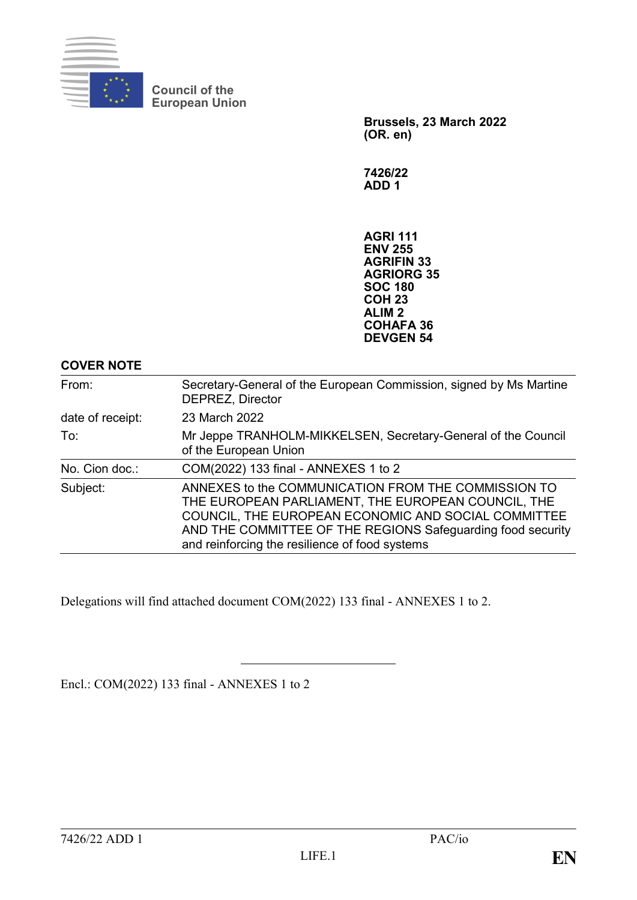

**Council of the European Union**

> **Brussels, 23 March 2022 (OR. en)**

**7426/22 ADD 1**

**AGRI 111 ENV 255 AGRIFIN 33 AGRIORG 35 SOC 180 COH 23 ALIM 2 COHAFA 36 DEVGEN 54**

## **COVER NOTE**

| From:            | Secretary-General of the European Commission, signed by Ms Martine<br><b>DEPREZ, Director</b>                                                                                                                                                                                     |  |
|------------------|-----------------------------------------------------------------------------------------------------------------------------------------------------------------------------------------------------------------------------------------------------------------------------------|--|
| date of receipt: | 23 March 2022                                                                                                                                                                                                                                                                     |  |
| To:              | Mr Jeppe TRANHOLM-MIKKELSEN, Secretary-General of the Council<br>of the European Union                                                                                                                                                                                            |  |
| No. Cion doc.:   | COM(2022) 133 final - ANNEXES 1 to 2                                                                                                                                                                                                                                              |  |
| Subject:         | ANNEXES to the COMMUNICATION FROM THE COMMISSION TO<br>THE EUROPEAN PARLIAMENT, THE EUROPEAN COUNCIL, THE<br>COUNCIL, THE EUROPEAN ECONOMIC AND SOCIAL COMMITTEE<br>AND THE COMMITTEE OF THE REGIONS Safeguarding food security<br>and reinforcing the resilience of food systems |  |

Delegations will find attached document COM(2022) 133 final - ANNEXES 1 to 2.

Encl.: COM(2022) 133 final - ANNEXES 1 to 2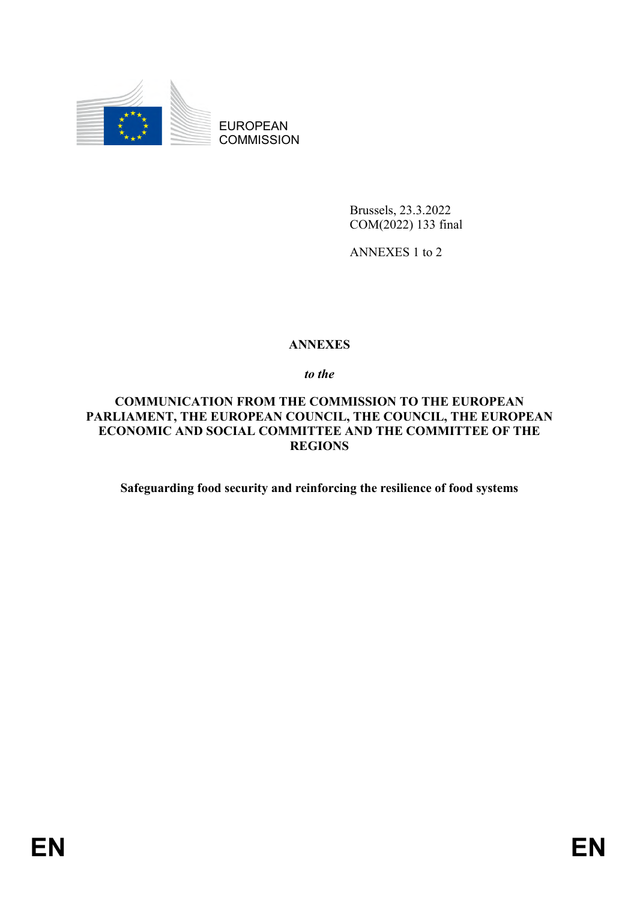

EUROPEAN **COMMISSION** 

> Brussels, 23.3.2022 COM(2022) 133 final

ANNEXES 1 to 2

# **ANNEXES**

*to the*

# **COMMUNICATION FROM THE COMMISSION TO THE EUROPEAN PARLIAMENT, THE EUROPEAN COUNCIL, THE COUNCIL, THE EUROPEAN ECONOMIC AND SOCIAL COMMITTEE AND THE COMMITTEE OF THE REGIONS**

**Safeguarding food security and reinforcing the resilience of food systems**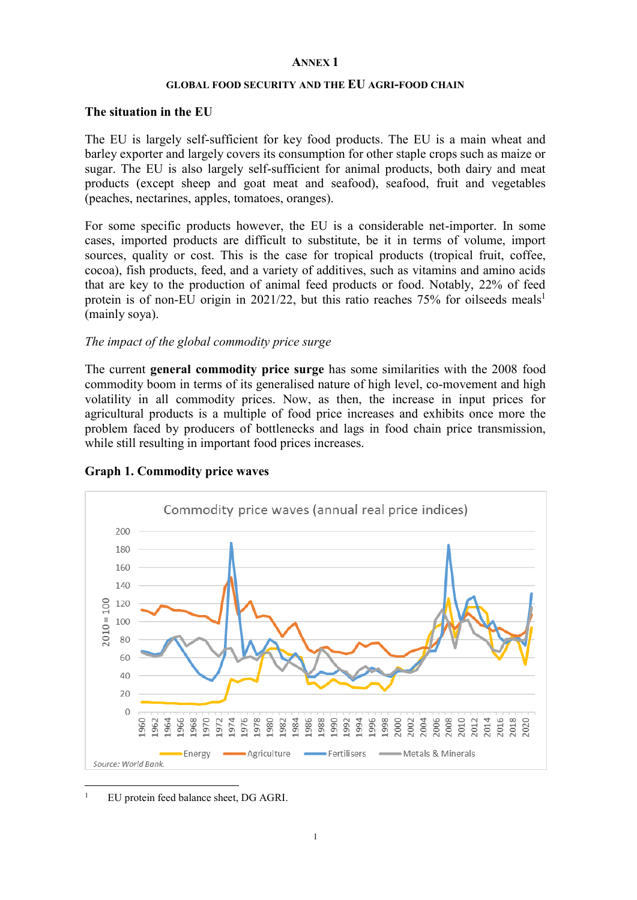### **ANNEX 1**

#### **GLOBAL FOOD SECURITY AND THE EU AGRI-FOOD CHAIN**

### **The situation in the EU**

The EU is largely self-sufficient for key food products. The EU is a main wheat and barley exporter and largely covers its consumption for other staple crops such as maize or sugar. The EU is also largely self-sufficient for animal products, both dairy and meat products (except sheep and goat meat and seafood), seafood, fruit and vegetables (peaches, nectarines, apples, tomatoes, oranges).

For some specific products however, the EU is a considerable net-importer. In some cases, imported products are difficult to substitute, be it in terms of volume, import sources, quality or cost. This is the case for tropical products (tropical fruit, coffee, cocoa), fish products, feed, and a variety of additives, such as vitamins and amino acids that are key to the production of animal feed products or food. Notably, 22% of feed protein is of non-EU origin in 2021/22, but this ratio reaches  $75\%$  for oilseeds meals<sup>1</sup> (mainly soya).

### *The impact of the global commodity price surge*

The current **general commodity price surge** has some similarities with the 2008 food commodity boom in terms of its generalised nature of high level, co-movement and high volatility in all commodity prices. Now, as then, the increase in input prices for agricultural products is a multiple of food price increases and exhibits once more the problem faced by producers of bottlenecks and lags in food chain price transmission, while still resulting in important food prices increases.



#### **Graph 1. Commodity price waves**

<sup>1</sup> EU protein feed balance sheet, DG AGRI.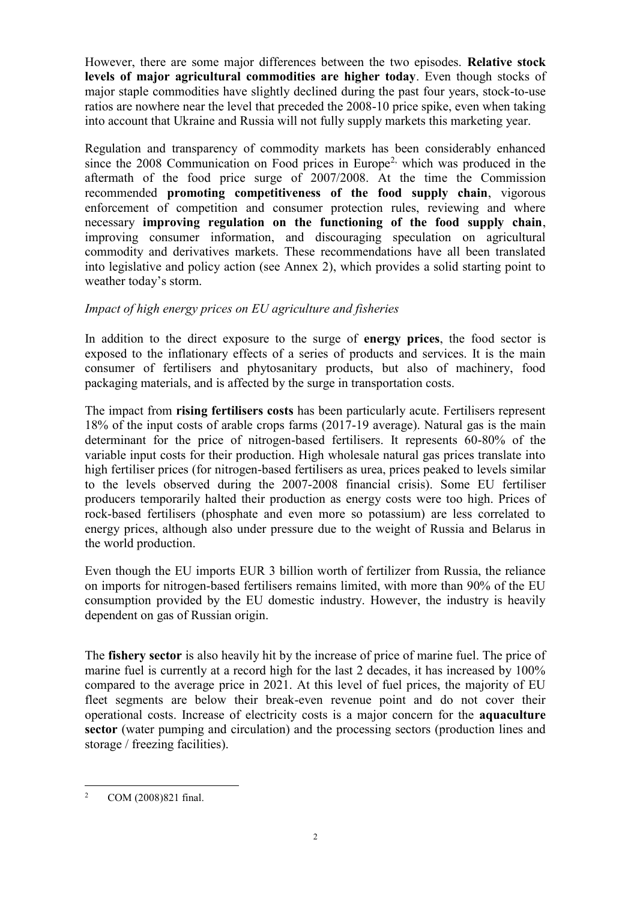However, there are some major differences between the two episodes. **Relative stock levels of major agricultural commodities are higher today**. Even though stocks of major staple commodities have slightly declined during the past four years, stock-to-use ratios are nowhere near the level that preceded the 2008-10 price spike, even when taking into account that Ukraine and Russia will not fully supply markets this marketing year.

Regulation and transparency of commodity markets has been considerably enhanced since the 2008 Communication on Food prices in Europe<sup>2,</sup> which was produced in the aftermath of the food price surge of 2007/2008. At the time the Commission recommended **promoting competitiveness of the food supply chain**, vigorous enforcement of competition and consumer protection rules, reviewing and where necessary **improving regulation on the functioning of the food supply chain**, improving consumer information, and discouraging speculation on agricultural commodity and derivatives markets. These recommendations have all been translated into legislative and policy action (see Annex 2), which provides a solid starting point to weather today's storm.

### *Impact of high energy prices on EU agriculture and fisheries*

In addition to the direct exposure to the surge of **energy prices**, the food sector is exposed to the inflationary effects of a series of products and services. It is the main consumer of fertilisers and phytosanitary products, but also of machinery, food packaging materials, and is affected by the surge in transportation costs.

The impact from **rising fertilisers costs** has been particularly acute. Fertilisers represent 18% of the input costs of arable crops farms (2017-19 average). Natural gas is the main determinant for the price of nitrogen-based fertilisers. It represents 60-80% of the variable input costs for their production. High wholesale natural gas prices translate into high fertiliser prices (for nitrogen-based fertilisers as urea, prices peaked to levels similar to the levels observed during the 2007-2008 financial crisis). Some EU fertiliser producers temporarily halted their production as energy costs were too high. Prices of rock-based fertilisers (phosphate and even more so potassium) are less correlated to energy prices, although also under pressure due to the weight of Russia and Belarus in the world production.

Even though the EU imports EUR 3 billion worth of fertilizer from Russia, the reliance on imports for nitrogen-based fertilisers remains limited, with more than 90% of the EU consumption provided by the EU domestic industry. However, the industry is heavily dependent on gas of Russian origin.

The **fishery sector** is also heavily hit by the increase of price of marine fuel. The price of marine fuel is currently at a record high for the last 2 decades, it has increased by 100% compared to the average price in 2021. At this level of fuel prices, the majority of EU fleet segments are below their break-even revenue point and do not cover their operational costs. Increase of electricity costs is a major concern for the **aquaculture sector** (water pumping and circulation) and the processing sectors (production lines and storage / freezing facilities).

 $\overline{a}$ <sup>2</sup> COM (2008)821 final.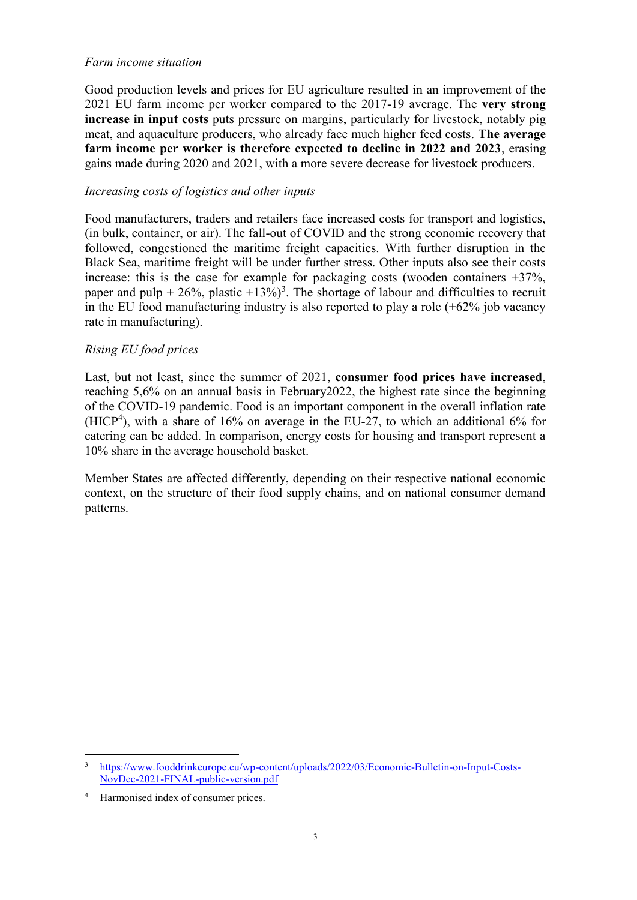### *Farm income situation*

Good production levels and prices for EU agriculture resulted in an improvement of the 2021 EU farm income per worker compared to the 2017-19 average. The **very strong increase in input costs** puts pressure on margins, particularly for livestock, notably pig meat, and aquaculture producers, who already face much higher feed costs. **The average farm income per worker is therefore expected to decline in 2022 and 2023**, erasing gains made during 2020 and 2021, with a more severe decrease for livestock producers.

### *Increasing costs of logistics and other inputs*

Food manufacturers, traders and retailers face increased costs for transport and logistics, (in bulk, container, or air). The fall-out of COVID and the strong economic recovery that followed, congestioned the maritime freight capacities. With further disruption in the Black Sea, maritime freight will be under further stress. Other inputs also see their costs increase: this is the case for example for packaging costs (wooden containers +37%, paper and pulp  $+ 26\%$ , plastic  $+13\%)^3$ . The shortage of labour and difficulties to recruit in the EU food manufacturing industry is also reported to play a role (+62% job vacancy rate in manufacturing).

### *Rising EU food prices*

Last, but not least, since the summer of 2021, **consumer food prices have increased**, reaching 5,6% on an annual basis in February2022, the highest rate since the beginning of the COVID-19 pandemic. Food is an important component in the overall inflation rate  $(HICP<sup>4</sup>)$ , with a share of 16% on average in the EU-27, to which an additional 6% for catering can be added. In comparison, energy costs for housing and transport represent a 10% share in the average household basket.

Member States are affected differently, depending on their respective national economic context, on the structure of their food supply chains, and on national consumer demand patterns.

 $\overline{a}$ <sup>3</sup> [https://www.fooddrinkeurope.eu/wp-content/uploads/2022/03/Economic-Bulletin-on-Input-Costs-](https://www.fooddrinkeurope.eu/wp-content/uploads/2022/03/Economic-Bulletin-on-Input-Costs-NovDec-2021-FINAL-public-version.pdf)[NovDec-2021-FINAL-public-version.pdf](https://www.fooddrinkeurope.eu/wp-content/uploads/2022/03/Economic-Bulletin-on-Input-Costs-NovDec-2021-FINAL-public-version.pdf)

Harmonised index of consumer prices.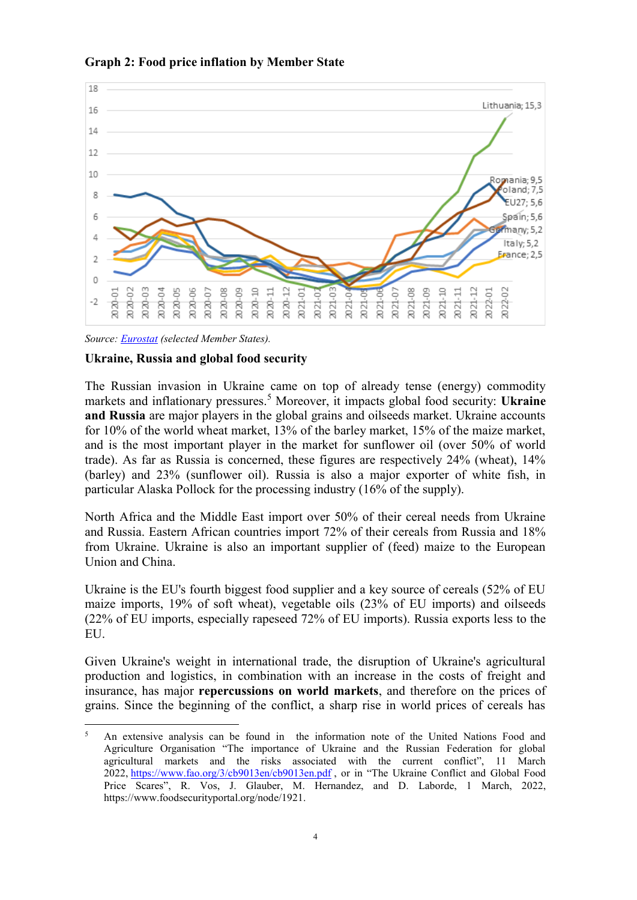



*Source: [Eurostat](https://appsso.eurostat.ec.europa.eu/nui/show.do?dataset=prc_fsc_idx&lang=en) (selected Member States).*

 $\overline{a}$ 

### **Ukraine, Russia and global food security**

The Russian invasion in Ukraine came on top of already tense (energy) commodity markets and inflationary pressures.<sup>5</sup> Moreover, it impacts global food security: **Ukraine and Russia** are major players in the global grains and oilseeds market. Ukraine accounts for 10% of the world wheat market, 13% of the barley market, 15% of the maize market, and is the most important player in the market for sunflower oil (over 50% of world trade). As far as Russia is concerned, these figures are respectively 24% (wheat), 14% (barley) and 23% (sunflower oil). Russia is also a major exporter of white fish, in particular Alaska Pollock for the processing industry (16% of the supply).

North Africa and the Middle East import over 50% of their cereal needs from Ukraine and Russia. Eastern African countries import 72% of their cereals from Russia and 18% from Ukraine. [Ukraine](https://datawrapper.dwcdn.net/KQ5im/3/) is also an important supplier of (feed) maize to the European Union and China.

Ukraine is the EU's fourth biggest food supplier and a key source of cereals (52% of EU maize imports, 19% of soft wheat), vegetable oils (23% of EU imports) and oilseeds (22% of EU imports, especially rapeseed 72% of EU imports). Russia exports less to the EU.

Given Ukraine's weight in international trade, the disruption of Ukraine's agricultural production and logistics, in combination with an increase in the costs of freight and insurance, has major **repercussions on world markets**, and therefore on the prices of grains. Since the beginning of the conflict, a sharp rise in world prices of cereals has

<sup>5</sup> An extensive analysis can be found in the information note of the United Nations Food and Agriculture Organisation "The importance of Ukraine and the Russian Federation for global agricultural markets and the risks associated with the current conflict", 11 March 2022, <https://www.fao.org/3/cb9013en/cb9013en.pdf>, or in "The Ukraine Conflict and Global Food Price Scares", R. Vos, J. Glauber, M. Hernandez, and D. Laborde, 1 March, 2022, https://www.foodsecurityportal.org/node/1921.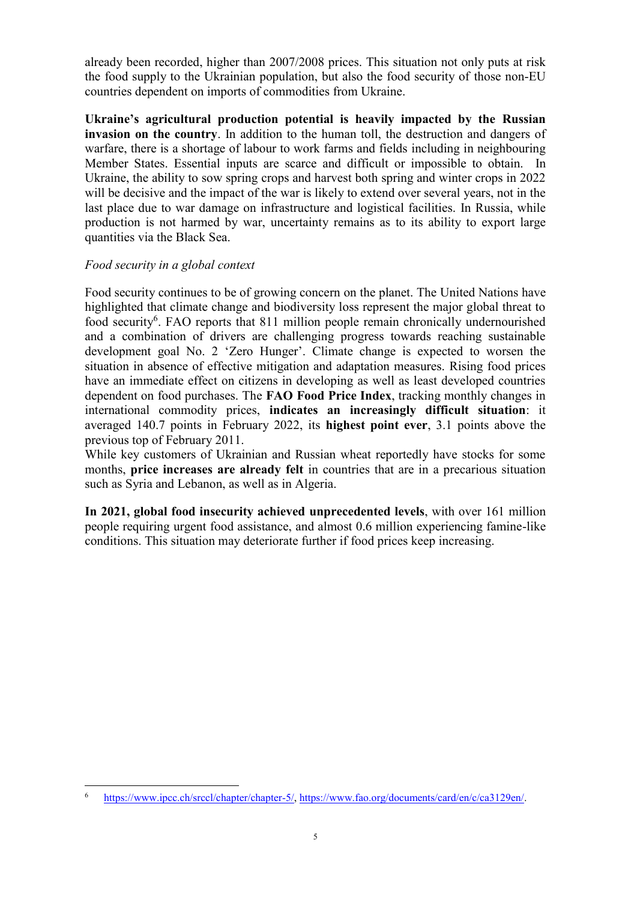already been recorded, higher than 2007/2008 prices. This situation not only puts at risk the food supply to the Ukrainian population, but also the food security of those non-EU countries dependent on imports of commodities from Ukraine.

**Ukraine's agricultural production potential is heavily impacted by the Russian invasion on the country**. In addition to the human toll, the destruction and dangers of warfare, there is a shortage of labour to work farms and fields including in neighbouring Member States. Essential inputs are scarce and difficult or impossible to obtain. In Ukraine, the ability to sow spring crops and harvest both spring and winter crops in 2022 will be decisive and the impact of the war is likely to extend over several years, not in the last place due to war damage on infrastructure and logistical facilities. In Russia, while production is not harmed by war, uncertainty remains as to its ability to export large quantities via the Black Sea.

### *Food security in a global context*

 $\overline{a}$ 

Food security continues to be of growing concern on the planet. The United Nations have highlighted that climate change and biodiversity loss represent the major global threat to food security<sup>6</sup>. FAO reports that 811 million people remain chronically undernourished and a combination of drivers are challenging progress towards reaching sustainable development goal No. 2 'Zero Hunger'. Climate change is expected to worsen the situation in absence of effective mitigation and adaptation measures. Rising food prices have an immediate effect on citizens in developing as well as least developed countries dependent on food purchases. The **FAO Food Price Index**, tracking monthly changes in international commodity prices, **indicates an increasingly difficult situation**: it averaged 140.7 points in February 2022, its **highest point ever**, 3.1 points above the previous top of February 2011.

While key customers of Ukrainian and Russian wheat reportedly have stocks for some months, **price increases are already felt** in countries that are in a precarious situation such as Syria and Lebanon, as well as in Algeria.

**In 2021, global food insecurity achieved unprecedented levels**, with over 161 million people requiring urgent food assistance, and almost 0.6 million experiencing famine-like conditions. This situation may deteriorate further if food prices keep increasing.

<sup>6</sup> [https://www.ipcc.ch/srccl/chapter/chapter-5/,](https://www.ipcc.ch/srccl/chapter/chapter-5/) [https://www.fao.org/documents/card/en/c/ca3129en/.](https://www.fao.org/documents/card/en/c/ca3129en/)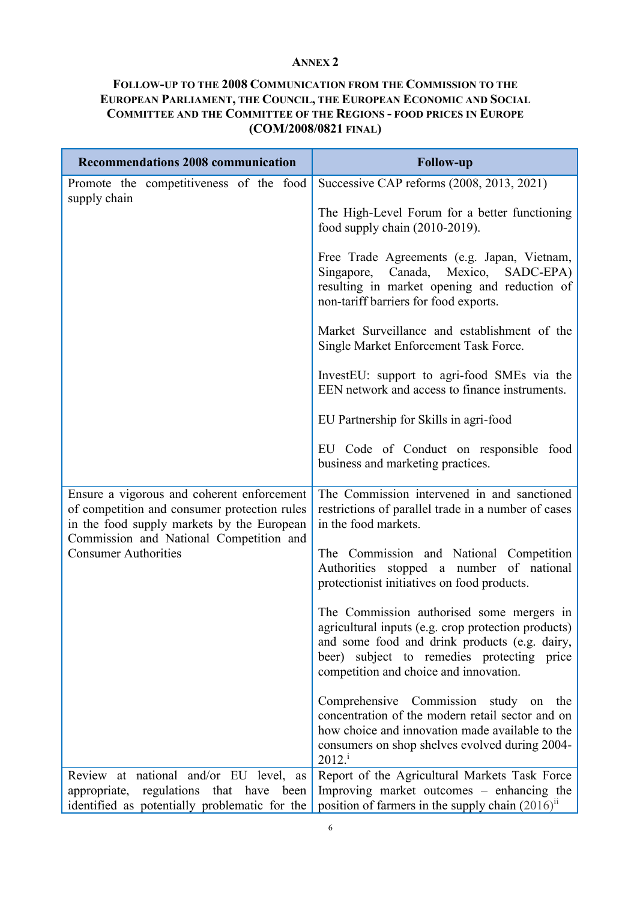### **ANNEX 2**

# **FOLLOW-UP TO THE 2008 COMMUNICATION FROM THE COMMISSION TO THE EUROPEAN PARLIAMENT, THE COUNCIL, THE EUROPEAN ECONOMIC AND SOCIAL COMMITTEE AND THE COMMITTEE OF THE REGIONS - FOOD PRICES IN EUROPE (COM/2008/0821 FINAL)**

| <b>Recommendations 2008 communication</b>                                                                                                | <b>Follow-up</b>                                                                                                                                                                                                                             |
|------------------------------------------------------------------------------------------------------------------------------------------|----------------------------------------------------------------------------------------------------------------------------------------------------------------------------------------------------------------------------------------------|
| Promote the competitiveness of the food<br>supply chain                                                                                  | Successive CAP reforms (2008, 2013, 2021)                                                                                                                                                                                                    |
|                                                                                                                                          | The High-Level Forum for a better functioning<br>food supply chain $(2010-2019)$ .                                                                                                                                                           |
|                                                                                                                                          | Free Trade Agreements (e.g. Japan, Vietnam,<br>Singapore, Canada,<br>Mexico,<br>SADC-EPA)<br>resulting in market opening and reduction of<br>non-tariff barriers for food exports.                                                           |
|                                                                                                                                          | Market Surveillance and establishment of the<br>Single Market Enforcement Task Force.                                                                                                                                                        |
|                                                                                                                                          | InvestEU: support to agri-food SMEs via the<br>EEN network and access to finance instruments.                                                                                                                                                |
|                                                                                                                                          | EU Partnership for Skills in agri-food                                                                                                                                                                                                       |
|                                                                                                                                          | EU Code of Conduct on responsible food<br>business and marketing practices.                                                                                                                                                                  |
| Ensure a vigorous and coherent enforcement<br>of competition and consumer protection rules<br>in the food supply markets by the European | The Commission intervened in and sanctioned<br>restrictions of parallel trade in a number of cases<br>in the food markets.                                                                                                                   |
| Commission and National Competition and<br><b>Consumer Authorities</b>                                                                   | The Commission and National Competition<br>Authorities stopped a number of national<br>protectionist initiatives on food products.                                                                                                           |
|                                                                                                                                          | The Commission authorised some mergers in<br>agricultural inputs (e.g. crop protection products)<br>and some food and drink products (e.g. dairy,<br>subject to remedies protecting price<br>beer)<br>competition and choice and innovation. |
|                                                                                                                                          | Comprehensive Commission study<br>on<br>the<br>concentration of the modern retail sector and on<br>how choice and innovation made available to the<br>consumers on shop shelves evolved during 2004-<br>$2012^{\mathrm{i}}$                  |
| Review at national and/or EU level,<br>as<br>regulations that have been<br>appropriate,<br>identified as potentially problematic for the | Report of the Agricultural Markets Task Force<br>Improving market outcomes – enhancing the<br>position of farmers in the supply chain $(2016)$ <sup>ii</sup>                                                                                 |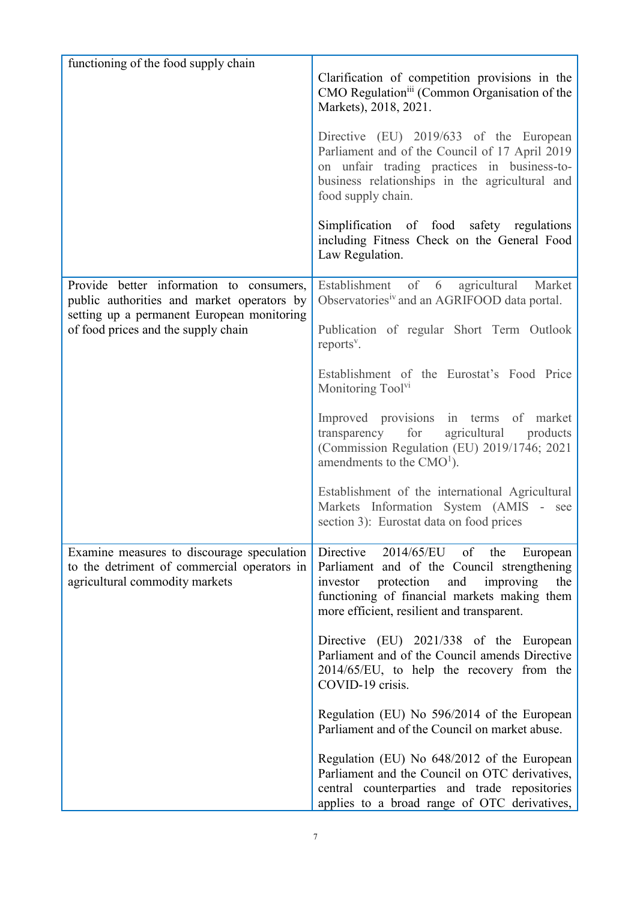| functioning of the food supply chain                                                                                                 |                                                                                                                                                                                                                                                |
|--------------------------------------------------------------------------------------------------------------------------------------|------------------------------------------------------------------------------------------------------------------------------------------------------------------------------------------------------------------------------------------------|
|                                                                                                                                      | Clarification of competition provisions in the<br>CMO Regulation <sup>iii</sup> (Common Organisation of the<br>Markets), 2018, 2021.                                                                                                           |
|                                                                                                                                      | Directive (EU) 2019/633 of the European<br>Parliament and of the Council of 17 April 2019<br>on unfair trading practices in business-to-<br>business relationships in the agricultural and<br>food supply chain.                               |
|                                                                                                                                      | Simplification of food safety regulations<br>including Fitness Check on the General Food<br>Law Regulation.                                                                                                                                    |
| Provide better information to consumers,<br>public authorities and market operators by<br>setting up a permanent European monitoring | of<br>Establishment<br>6<br>agricultural<br>Market<br>Observatories <sup>iv</sup> and an AGRIFOOD data portal.                                                                                                                                 |
| of food prices and the supply chain                                                                                                  | Publication of regular Short Term Outlook<br>reports <sup>v</sup> .                                                                                                                                                                            |
|                                                                                                                                      | Establishment of the Eurostat's Food Price<br>Monitoring Tool <sup>VI</sup>                                                                                                                                                                    |
|                                                                                                                                      | Improved provisions in terms of market<br>agricultural<br>transparency<br>for<br>products<br>(Commission Regulation (EU) 2019/1746; 2021<br>amendments to the $CMO1$ ).                                                                        |
|                                                                                                                                      | Establishment of the international Agricultural<br>Markets Information System (AMIS - see<br>section 3): Eurostat data on food prices                                                                                                          |
| Examine measures to discourage speculation<br>to the detriment of commercial operators in<br>agricultural commodity markets          | Directive<br>$2014/65/EU$ of the<br>European<br>Parliament and of the Council strengthening<br>protection<br>and<br>improving<br>investor<br>the<br>functioning of financial markets making them<br>more efficient, resilient and transparent. |
|                                                                                                                                      | Directive (EU) 2021/338 of the European<br>Parliament and of the Council amends Directive<br>2014/65/EU, to help the recovery from the<br>COVID-19 crisis.                                                                                     |
|                                                                                                                                      | Regulation (EU) No 596/2014 of the European<br>Parliament and of the Council on market abuse.                                                                                                                                                  |
|                                                                                                                                      | Regulation (EU) No 648/2012 of the European<br>Parliament and the Council on OTC derivatives,<br>central counterparties and trade repositories<br>applies to a broad range of OTC derivatives,                                                 |